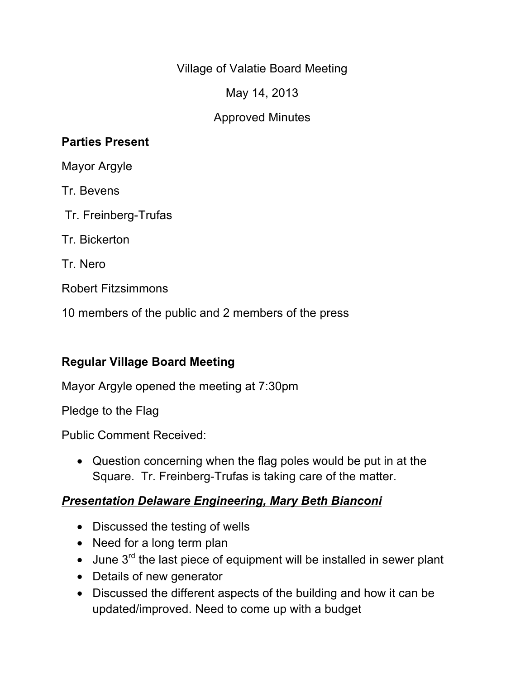Village of Valatie Board Meeting

May 14, 2013

## Approved Minutes

#### **Parties Present**

Mayor Argyle

Tr. Bevens

Tr. Freinberg-Trufas

Tr. Bickerton

Tr. Nero

Robert Fitzsimmons

10 members of the public and 2 members of the press

## **Regular Village Board Meeting**

Mayor Argyle opened the meeting at 7:30pm

Pledge to the Flag

Public Comment Received:

• Question concerning when the flag poles would be put in at the Square. Tr. Freinberg-Trufas is taking care of the matter.

## *Presentation Delaware Engineering, Mary Beth Bianconi*

- Discussed the testing of wells
- Need for a long term plan
- $\bullet$  June 3<sup>rd</sup> the last piece of equipment will be installed in sewer plant
- Details of new generator
- Discussed the different aspects of the building and how it can be updated/improved. Need to come up with a budget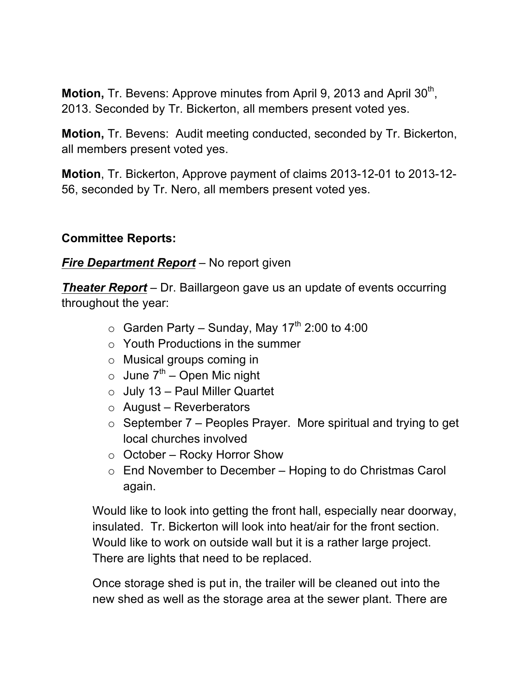**Motion, Tr. Bevens: Approve minutes from April 9, 2013 and April 30<sup>th</sup>,** 2013. Seconded by Tr. Bickerton, all members present voted yes.

**Motion,** Tr. Bevens: Audit meeting conducted, seconded by Tr. Bickerton, all members present voted yes.

**Motion**, Tr. Bickerton, Approve payment of claims 2013-12-01 to 2013-12- 56, seconded by Tr. Nero, all members present voted yes.

#### **Committee Reports:**

## *Fire Department Report* – No report given

*Theater Report* – Dr. Baillargeon gave us an update of events occurring throughout the year:

- $\circ$  Garden Party Sunday, May 17<sup>th</sup> 2:00 to 4:00
- $\circ$  Youth Productions in the summer
- o Musical groups coming in
- $\circ$  June  $7<sup>th</sup>$  Open Mic night
- $\circ$  July 13 Paul Miller Quartet
- $\circ$  August Reverberators
- $\circ$  September 7 Peoples Prayer. More spiritual and trying to get local churches involved
- $\circ$  October Rocky Horror Show
- $\circ$  End November to December Hoping to do Christmas Carol again.

Would like to look into getting the front hall, especially near doorway, insulated. Tr. Bickerton will look into heat/air for the front section. Would like to work on outside wall but it is a rather large project. There are lights that need to be replaced.

Once storage shed is put in, the trailer will be cleaned out into the new shed as well as the storage area at the sewer plant. There are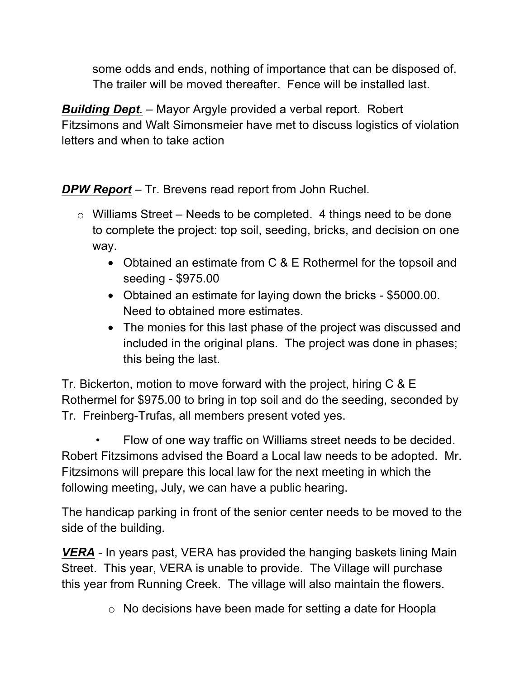some odds and ends, nothing of importance that can be disposed of. The trailer will be moved thereafter. Fence will be installed last.

*Building Dept.* – Mayor Argyle provided a verbal report. Robert Fitzsimons and Walt Simonsmeier have met to discuss logistics of violation letters and when to take action

*DPW Report* – Tr. Brevens read report from John Ruchel.

- $\circ$  Williams Street Needs to be completed. 4 things need to be done to complete the project: top soil, seeding, bricks, and decision on one way.
	- Obtained an estimate from C & E Rothermel for the topsoil and seeding - \$975.00
	- Obtained an estimate for laying down the bricks \$5000.00. Need to obtained more estimates.
	- The monies for this last phase of the project was discussed and included in the original plans. The project was done in phases; this being the last.

Tr. Bickerton, motion to move forward with the project, hiring C & E Rothermel for \$975.00 to bring in top soil and do the seeding, seconded by Tr. Freinberg-Trufas, all members present voted yes.

• Flow of one way traffic on Williams street needs to be decided. Robert Fitzsimons advised the Board a Local law needs to be adopted. Mr. Fitzsimons will prepare this local law for the next meeting in which the following meeting, July, we can have a public hearing.

The handicap parking in front of the senior center needs to be moved to the side of the building.

*VERA* - In years past, VERA has provided the hanging baskets lining Main Street. This year, VERA is unable to provide. The Village will purchase this year from Running Creek. The village will also maintain the flowers.

o No decisions have been made for setting a date for Hoopla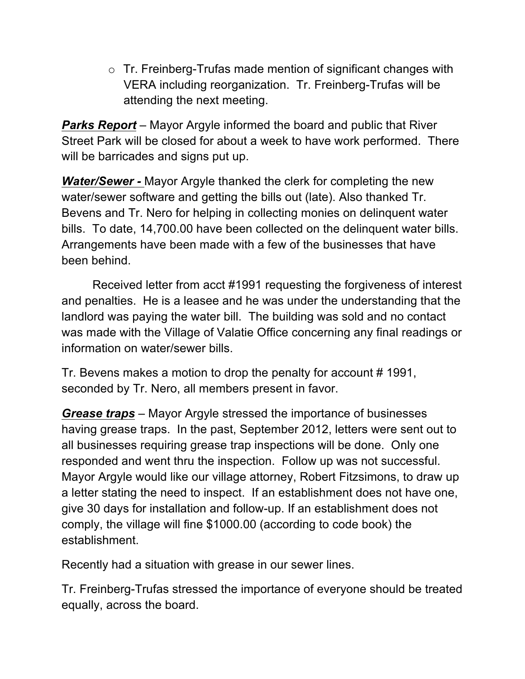o Tr. Freinberg-Trufas made mention of significant changes with VERA including reorganization. Tr. Freinberg-Trufas will be attending the next meeting.

*Parks Report* – Mayor Argyle informed the board and public that River Street Park will be closed for about a week to have work performed. There will be barricades and signs put up.

*Water/Sewer -* Mayor Argyle thanked the clerk for completing the new water/sewer software and getting the bills out (late). Also thanked Tr. Bevens and Tr. Nero for helping in collecting monies on delinquent water bills. To date, 14,700.00 have been collected on the delinquent water bills. Arrangements have been made with a few of the businesses that have been behind.

Received letter from acct #1991 requesting the forgiveness of interest and penalties. He is a leasee and he was under the understanding that the landlord was paying the water bill. The building was sold and no contact was made with the Village of Valatie Office concerning any final readings or information on water/sewer bills.

Tr. Bevens makes a motion to drop the penalty for account # 1991, seconded by Tr. Nero, all members present in favor.

*Grease traps* – Mayor Argyle stressed the importance of businesses having grease traps. In the past, September 2012, letters were sent out to all businesses requiring grease trap inspections will be done. Only one responded and went thru the inspection. Follow up was not successful. Mayor Argyle would like our village attorney, Robert Fitzsimons, to draw up a letter stating the need to inspect. If an establishment does not have one, give 30 days for installation and follow-up. If an establishment does not comply, the village will fine \$1000.00 (according to code book) the establishment.

Recently had a situation with grease in our sewer lines.

Tr. Freinberg-Trufas stressed the importance of everyone should be treated equally, across the board.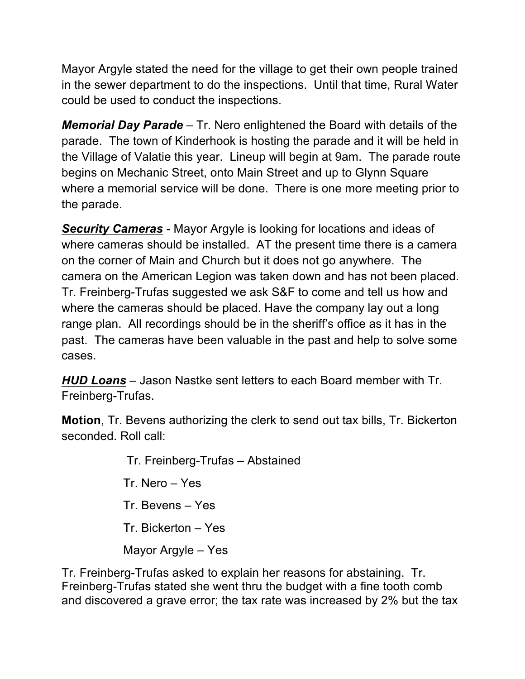Mayor Argyle stated the need for the village to get their own people trained in the sewer department to do the inspections. Until that time, Rural Water could be used to conduct the inspections.

*Memorial Day Parade* – Tr. Nero enlightened the Board with details of the parade. The town of Kinderhook is hosting the parade and it will be held in the Village of Valatie this year. Lineup will begin at 9am. The parade route begins on Mechanic Street, onto Main Street and up to Glynn Square where a memorial service will be done. There is one more meeting prior to the parade.

*Security Cameras* - Mayor Argyle is looking for locations and ideas of where cameras should be installed. AT the present time there is a camera on the corner of Main and Church but it does not go anywhere. The camera on the American Legion was taken down and has not been placed. Tr. Freinberg-Trufas suggested we ask S&F to come and tell us how and where the cameras should be placed. Have the company lay out a long range plan. All recordings should be in the sheriff's office as it has in the past. The cameras have been valuable in the past and help to solve some cases.

*HUD Loans* – Jason Nastke sent letters to each Board member with Tr. Freinberg-Trufas.

**Motion**, Tr. Bevens authorizing the clerk to send out tax bills, Tr. Bickerton seconded. Roll call:

> Tr. Freinberg-Trufas – Abstained Tr. Nero – Yes Tr. Bevens – Yes Tr. Bickerton – Yes Mayor Argyle – Yes

Tr. Freinberg-Trufas asked to explain her reasons for abstaining. Tr. Freinberg-Trufas stated she went thru the budget with a fine tooth comb and discovered a grave error; the tax rate was increased by 2% but the tax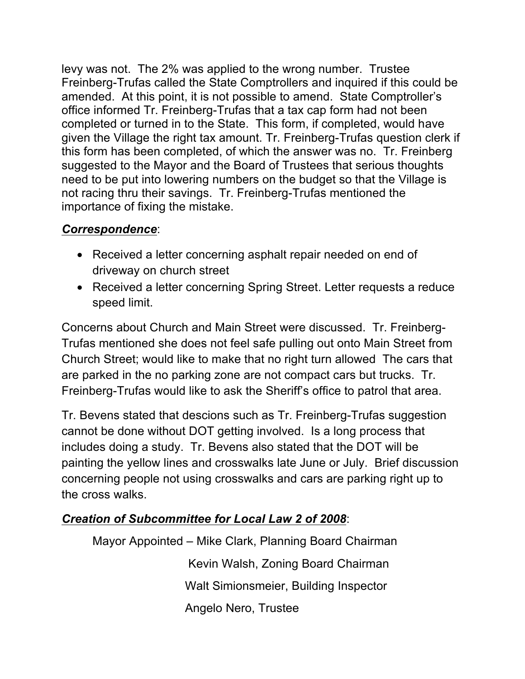levy was not. The 2% was applied to the wrong number. Trustee Freinberg-Trufas called the State Comptrollers and inquired if this could be amended. At this point, it is not possible to amend. State Comptroller's office informed Tr. Freinberg-Trufas that a tax cap form had not been completed or turned in to the State. This form, if completed, would have given the Village the right tax amount. Tr. Freinberg-Trufas question clerk if this form has been completed, of which the answer was no. Tr. Freinberg suggested to the Mayor and the Board of Trustees that serious thoughts need to be put into lowering numbers on the budget so that the Village is not racing thru their savings. Tr. Freinberg-Trufas mentioned the importance of fixing the mistake.

## *Correspondence*:

- Received a letter concerning asphalt repair needed on end of driveway on church street
- Received a letter concerning Spring Street. Letter requests a reduce speed limit.

Concerns about Church and Main Street were discussed. Tr. Freinberg-Trufas mentioned she does not feel safe pulling out onto Main Street from Church Street; would like to make that no right turn allowed The cars that are parked in the no parking zone are not compact cars but trucks. Tr. Freinberg-Trufas would like to ask the Sheriff's office to patrol that area.

Tr. Bevens stated that descions such as Tr. Freinberg-Trufas suggestion cannot be done without DOT getting involved. Is a long process that includes doing a study. Tr. Bevens also stated that the DOT will be painting the yellow lines and crosswalks late June or July. Brief discussion concerning people not using crosswalks and cars are parking right up to the cross walks.

# *Creation of Subcommittee for Local Law 2 of 2008*:

Mayor Appointed – Mike Clark, Planning Board Chairman Kevin Walsh, Zoning Board Chairman Walt Simionsmeier, Building Inspector Angelo Nero, Trustee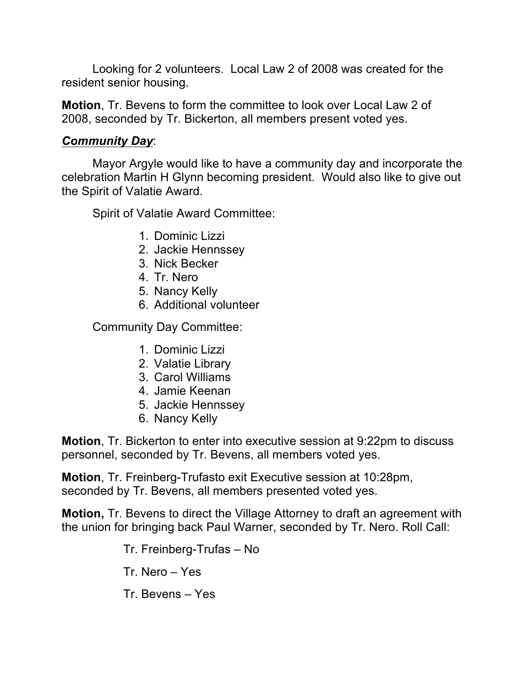Looking for 2 volunteers. Local Law 2 of 2008 was created for the resident senior housing.

**Motion**, Tr. Bevens to form the committee to look over Local Law 2 of 2008, seconded by Tr. Bickerton, all members present voted yes.

#### *Community Day*:

Mayor Argyle would like to have a community day and incorporate the celebration Martin H Glynn becoming president. Would also like to give out the Spirit of Valatie Award.

Spirit of Valatie Award Committee:

- 1. Dominic Lizzi
- 2. Jackie Hennssey
- 3. Nick Becker
- 4. Tr. Nero
- 5. Nancy Kelly
- 6. Additional volunteer

Community Day Committee:

- 1. Dominic Lizzi
- 2. Valatie Library
- 3. Carol Williams
- 4. Jamie Keenan
- 5. Jackie Hennssey
- 6. Nancy Kelly

**Motion**, Tr. Bickerton to enter into executive session at 9:22pm to discuss personnel, seconded by Tr. Bevens, all members voted yes.

**Motion**, Tr. Freinberg-Trufasto exit Executive session at 10:28pm, seconded by Tr. Bevens, all members presented voted yes.

**Motion,** Tr. Bevens to direct the Village Attorney to draft an agreement with the union for bringing back Paul Warner, seconded by Tr. Nero. Roll Call:

Tr. Freinberg-Trufas – No

- Tr. Nero Yes
- Tr. Bevens Yes